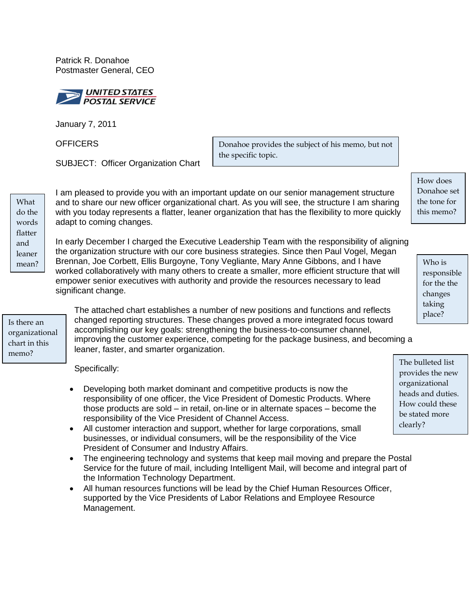Patrick R. Donahoe Postmaster General, CEO



January 7, 2011

**OFFICERS** 

SUBJECT: Officer Organization Chart

Donahoe provides the subject of his memo, but not the specific topic.

What do the words flatter and leaner

I am pleased to provide you with an important update on our senior management structure and to share our new officer organizational chart. As you will see, the structure I am sharing with you today represents a flatter, leaner organization that has the flexibility to more quickly adapt to coming changes.

In early December I charged the Executive Leadership Team with the responsibility of aligning the organization structure with our core business strategies. Since then Paul Vogel, Megan  $\frac{1}{2}$  Brennan, Joe Corbett, Ellis Burgoyne, Tony Vegliante, Mary Anne Gibbons, and I have Who is worked collaboratively with many others to create a smaller, more efficient structure that will empower senior executives with authority and provide the resources necessary to lead significant change.

Is there an organizational chart in this memo?

The attached chart establishes a number of new positions and functions and reflects changed reporting structures. These changes proved a more integrated focus toward accomplishing our key goals: strengthening the business-to-consumer channel, improving the customer experience, competing for the package business, and becoming a leaner, faster, and smarter organization.

Specifically:

- Developing both market dominant and competitive products is now the responsibility of one officer, the Vice President of Domestic Products. Where those products are sold – in retail, on-line or in alternate spaces – become the responsibility of the Vice President of Channel Access.
- All customer interaction and support, whether for large corporations, small businesses, or individual consumers, will be the responsibility of the Vice President of Consumer and Industry Affairs.
- The engineering technology and systems that keep mail moving and prepare the Postal Service for the future of mail, including Intelligent Mail, will become and integral part of the Information Technology Department.
- All human resources functions will be lead by the Chief Human Resources Officer, supported by the Vice Presidents of Labor Relations and Employee Resource Management.

How does Donahoe set the tone for this memo?

> responsible for the the changes taking place?

The bulleted list provides the new organizational heads and duties. How could these be stated more clearly?